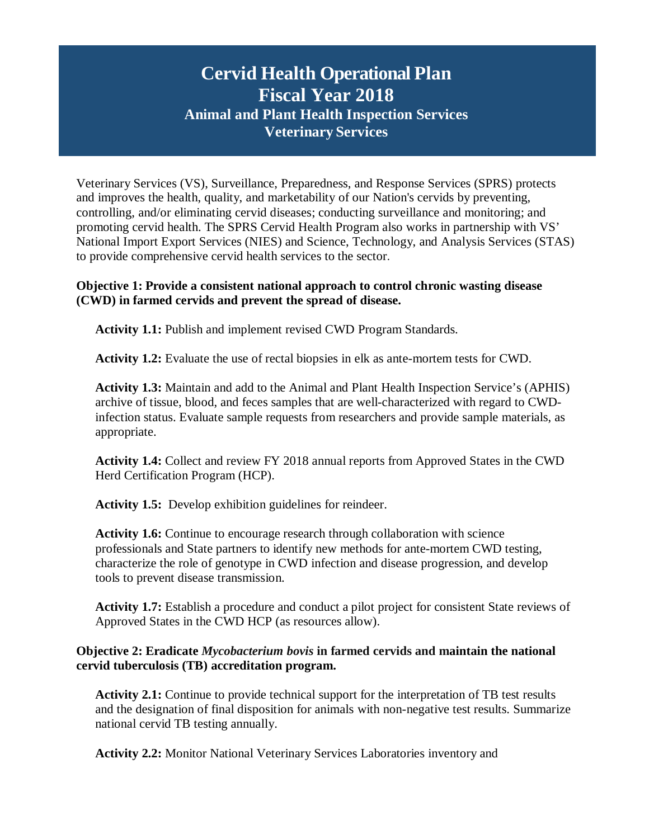# The **Cervid Health Operational Plan Fiscal Year 2018 Animal and Plant Health Inspection Services Veterinary Services**

Veterinary Services (VS), Surveillance, Preparedness, and Response Services (SPRS) protects and improves the health, quality, and marketability of our Nation's cervids by preventing, controlling, and/or eliminating cervid diseases; conducting surveillance and monitoring; and promoting cervid health. The SPRS Cervid Health Program also works in partnership with VS' National Import Export Services (NIES) and Science, Technology, and Analysis Services (STAS) to provide comprehensive cervid health services to the sector.

## **Objective 1: Provide a consistent national approach to control chronic wasting disease (CWD) in farmed cervids and prevent the spread of disease.**

**Activity 1.1:** Publish and implement revised CWD Program Standards.

**Activity 1.2:** Evaluate the use of rectal biopsies in elk as ante-mortem tests for CWD.

**Activity 1.3:** Maintain and add to the Animal and Plant Health Inspection Service's (APHIS) archive of tissue, blood, and feces samples that are well-characterized with regard to CWDinfection status. Evaluate sample requests from researchers and provide sample materials, as appropriate.

**Activity 1.4:** Collect and review FY 2018 annual reports from Approved States in the CWD Herd Certification Program (HCP).

**Activity 1.5:** Develop exhibition guidelines for reindeer.

**Activity 1.6:** Continue to encourage research through collaboration with science professionals and State partners to identify new methods for ante-mortem CWD testing, characterize the role of genotype in CWD infection and disease progression, and develop tools to prevent disease transmission.

**Activity 1.7:** Establish a procedure and conduct a pilot project for consistent State reviews of Approved States in the CWD HCP (as resources allow).

## **Objective 2: Eradicate** *Mycobacterium bovis* **in farmed cervids and maintain the national cervid tuberculosis (TB) accreditation program.**

**Activity 2.1:** Continue to provide technical support for the interpretation of TB test results and the designation of final disposition for animals with non-negative test results. Summarize national cervid TB testing annually.

**Activity 2.2:** Monitor National Veterinary Services Laboratories inventory and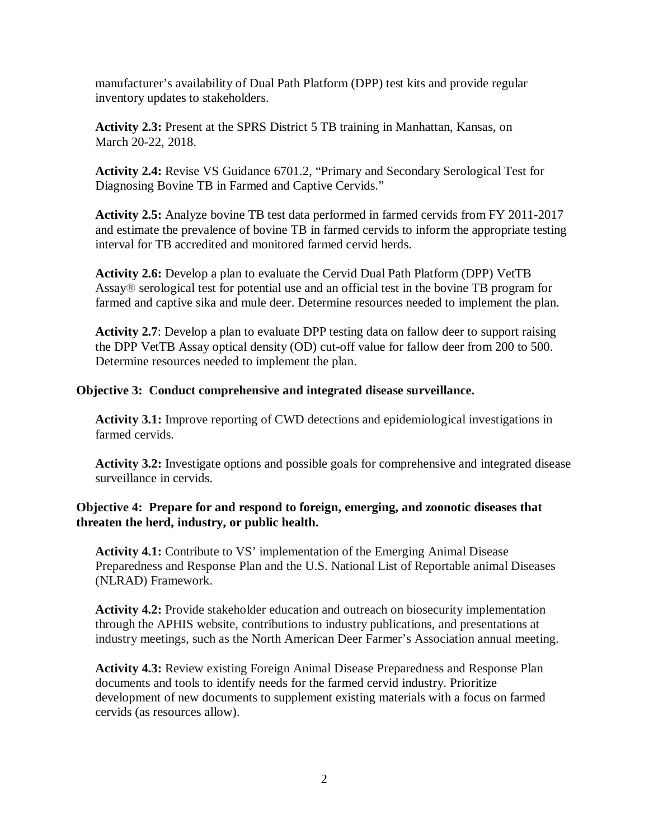manufacturer's availability of Dual Path Platform (DPP) test kits and provide regular inventory updates to stakeholders.

**Activity 2.3:** Present at the SPRS District 5 TB training in Manhattan, Kansas, on March 20-22, 2018.

**Activity 2.4:** Revise VS Guidance 6701.2, "Primary and Secondary Serological Test for Diagnosing Bovine TB in Farmed and Captive Cervids."

**Activity 2.5:** Analyze bovine TB test data performed in farmed cervids from FY 2011-2017 and estimate the prevalence of bovine TB in farmed cervids to inform the appropriate testing interval for TB accredited and monitored farmed cervid herds.

**Activity 2.6:** Develop a plan to evaluate the Cervid Dual Path Platform (DPP) VetTB Assay® serological test for potential use and an official test in the bovine TB program for farmed and captive sika and mule deer. Determine resources needed to implement the plan.

**Activity 2.7**: Develop a plan to evaluate DPP testing data on fallow deer to support raising the DPP VetTB Assay optical density (OD) cut-off value for fallow deer from 200 to 500. Determine resources needed to implement the plan.

## **Objective 3: Conduct comprehensive and integrated disease surveillance.**

**Activity 3.1:** Improve reporting of CWD detections and epidemiological investigations in farmed cervids.

**Activity 3.2:** Investigate options and possible goals for comprehensive and integrated disease surveillance in cervids.

## **Objective 4: Prepare for and respond to foreign, emerging, and zoonotic diseases that threaten the herd, industry, or public health.**

**Activity 4.1:** Contribute to VS' implementation of the Emerging Animal Disease Preparedness and Response Plan and the U.S. National List of Reportable animal Diseases (NLRAD) Framework.

**Activity 4.2:** Provide stakeholder education and outreach on biosecurity implementation through the APHIS website, contributions to industry publications, and presentations at industry meetings, such as the North American Deer Farmer's Association annual meeting.

**Activity 4.3:** Review existing Foreign Animal Disease Preparedness and Response Plan documents and tools to identify needs for the farmed cervid industry. Prioritize development of new documents to supplement existing materials with a focus on farmed cervids (as resources allow).